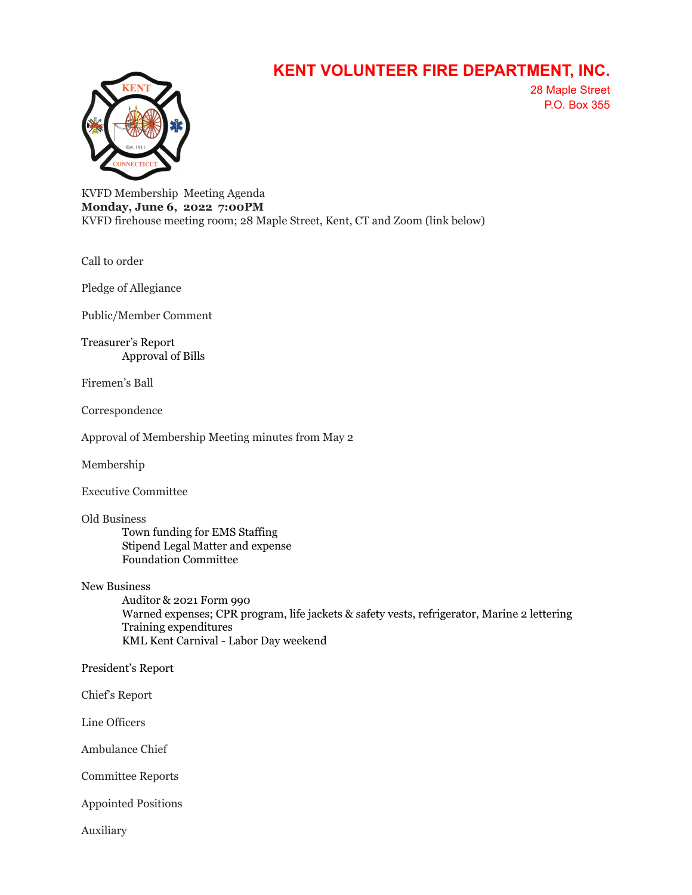## **KENT VOLUNTEER FIRE DEPARTMENT, INC.**



28 Maple Street P.O. Box 355

KVFD Membership Meeting Agenda **Monday, June 6, 2022 7:00PM** KVFD firehouse meeting room; 28 Maple Street, Kent, CT and Zoom (link below)

Call to order

Pledge of Allegiance

Public/Member Comment

Treasurer's Report Approval of Bills

Firemen's Ball

Correspondence

Approval of Membership Meeting minutes from May 2

Membership

Executive Committee

Old Business

Town funding for EMS Staffing Stipend Legal Matter and expense Foundation Committee

New Business

Auditor & 2021 Form 990 Warned expenses; CPR program, life jackets & safety vests, refrigerator, Marine 2 lettering Training expenditures KML Kent Carnival - Labor Day weekend

President's Report

Chief's Report

Line Officers

Ambulance Chief

Committee Reports

Appointed Positions

Auxiliary